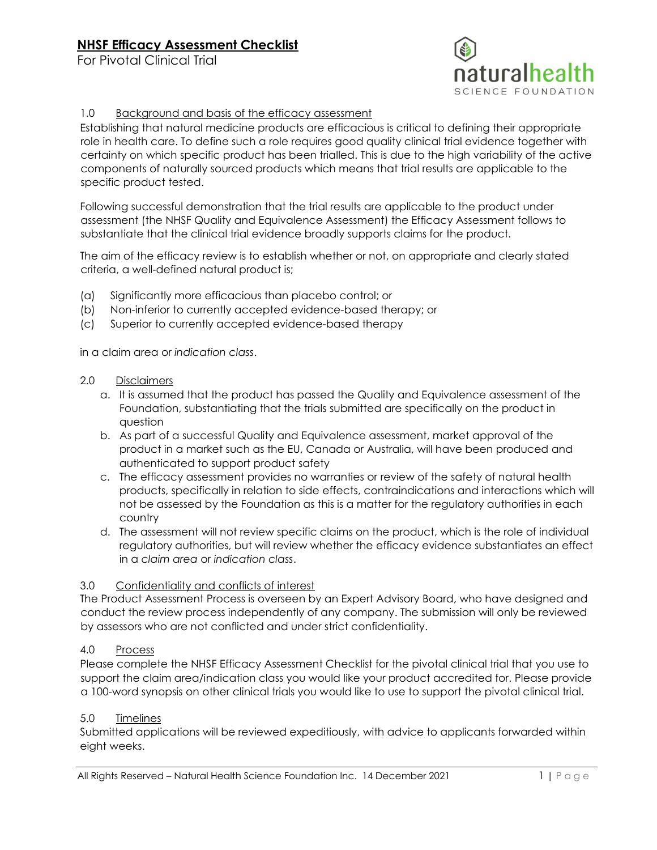For Pivotal Clinical Trial



#### 1.0 Background and basis of the efficacy assessment

Establishing that natural medicine products are efficacious is critical to defining their appropriate role in health care. To define such a role requires good quality clinical trial evidence together with certainty on which specific product has been trialled. This is due to the high variability of the active components of naturally sourced products which means that trial results are applicable to the specific product tested.

Following successful demonstration that the trial results are applicable to the product under assessment (the NHSF Quality and Equivalence Assessment) the Efficacy Assessment follows to substantiate that the clinical trial evidence broadly supports claims for the product.

The aim of the efficacy review is to establish whether or not, on appropriate and clearly stated criteria, a well-defined natural product is;

- (a) Significantly more efficacious than placebo control; or
- (b) Non-inferior to currently accepted evidence-based therapy; or
- (c) Superior to currently accepted evidence-based therapy

in a claim area or *indication class*.

#### 2.0 Disclaimers

- a. It is assumed that the product has passed the Quality and Equivalence assessment of the Foundation, substantiating that the trials submitted are specifically on the product in question
- b. As part of a successful Quality and Equivalence assessment, market approval of the product in a market such as the EU, Canada or Australia, will have been produced and authenticated to support product safety
- c. The efficacy assessment provides no warranties or review of the safety of natural health products, specifically in relation to side effects, contraindications and interactions which will not be assessed by the Foundation as this is a matter for the regulatory authorities in each country
- d. The assessment will not review specific claims on the product, which is the role of individual regulatory authorities, but will review whether the efficacy evidence substantiates an effect in a *claim area* or *indication class*.

#### 3.0 Confidentiality and conflicts of interest

The Product Assessment Process is overseen by an Expert Advisory Board, who have designed and conduct the review process independently of any company. The submission will only be reviewed by assessors who are not conflicted and under strict confidentiality.

#### 4.0 Process

Please complete the NHSF Efficacy Assessment Checklist for the pivotal clinical trial that you use to support the claim area/indication class you would like your product accredited for. Please provide a 100-word synopsis on other clinical trials you would like to use to support the pivotal clinical trial.

#### 5.0 Timelines

Submitted applications will be reviewed expeditiously, with advice to applicants forwarded within eight weeks.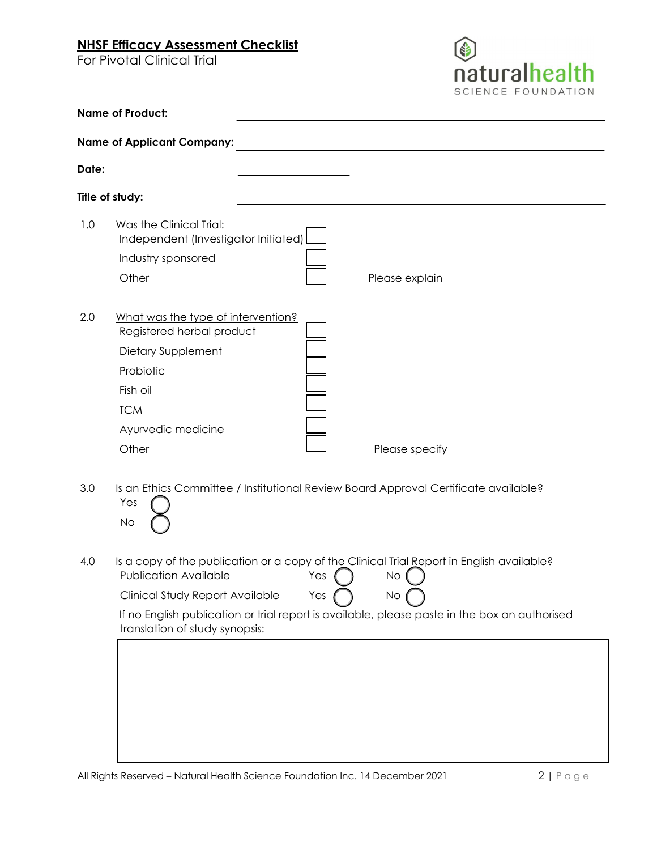For Pivotal Clinical Trial



|                 | <b>Name of Product:</b>                                                                                                                                                                                                                                                                                                           |
|-----------------|-----------------------------------------------------------------------------------------------------------------------------------------------------------------------------------------------------------------------------------------------------------------------------------------------------------------------------------|
|                 | <b>Name of Applicant Company:</b>                                                                                                                                                                                                                                                                                                 |
| Date:           |                                                                                                                                                                                                                                                                                                                                   |
| Title of study: |                                                                                                                                                                                                                                                                                                                                   |
| 1.0             | Was the Clinical Trial:<br>Independent (Investigator Initiated)<br>Industry sponsored<br>Other<br>Please explain                                                                                                                                                                                                                  |
| 2.0             | What was the type of intervention?<br>Registered herbal product<br>Dietary Supplement<br>Probiotic<br>Fish oil<br><b>TCM</b><br>Ayurvedic medicine<br>Other<br>Please specify                                                                                                                                                     |
| 3.0             | Is an Ethics Committee / Institutional Review Board Approval Certificate available?<br>Yes<br>No                                                                                                                                                                                                                                  |
| 4.0             | Is a copy of the publication or a copy of the Clinical Trial Report in English available?<br><b>Publication Available</b><br>Yes<br><b>No</b><br>Clinical Study Report Available<br>Yes<br>No.<br>If no English publication or trial report is available, please paste in the box an authorised<br>translation of study synopsis: |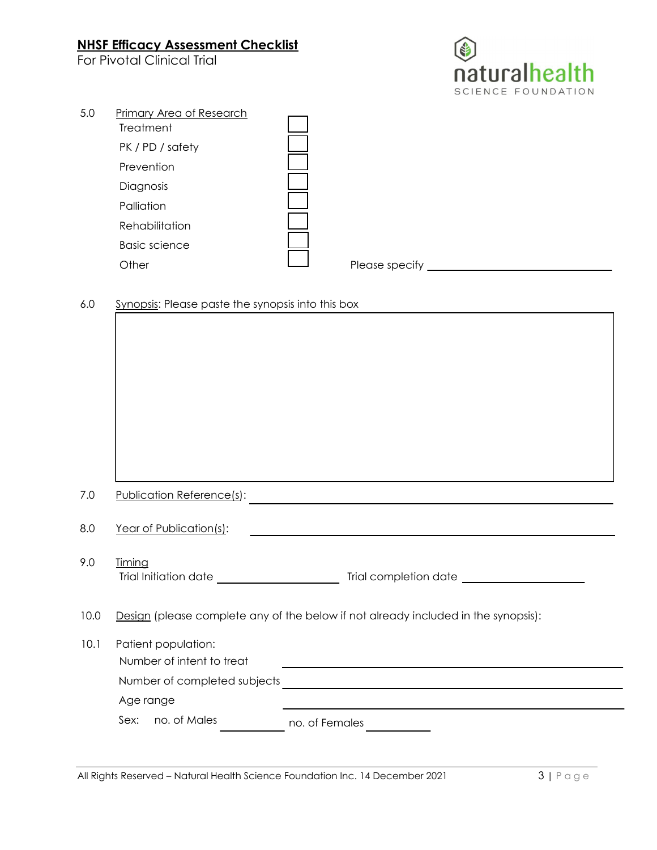For Pivotal Clinical Trial



| 5.0 | Primary Area of Research |                |  |
|-----|--------------------------|----------------|--|
|     | Treatment                |                |  |
|     | PK / PD / safety         |                |  |
|     | Prevention               |                |  |
|     | Diagnosis                |                |  |
|     | Palliation               |                |  |
|     | Rehabilitation           |                |  |
|     | <b>Basic science</b>     |                |  |
|     | Other                    | Please specify |  |
|     |                          |                |  |

### 6.0 Synopsis: Please paste the synopsis into this box

| 7.0  | Publication Reference(s):                                                          |  |
|------|------------------------------------------------------------------------------------|--|
| 0.8  | Year of Publication(s):                                                            |  |
| 9.0  | <b>Timing</b>                                                                      |  |
|      |                                                                                    |  |
| 10.0 | Design (please complete any of the below if not already included in the synopsis): |  |
| 10.1 | Patient population:                                                                |  |
|      | Number of intent to treat                                                          |  |
|      |                                                                                    |  |
|      | Age range                                                                          |  |
|      | no. of Males<br>Sex:<br>no. of Females                                             |  |
|      |                                                                                    |  |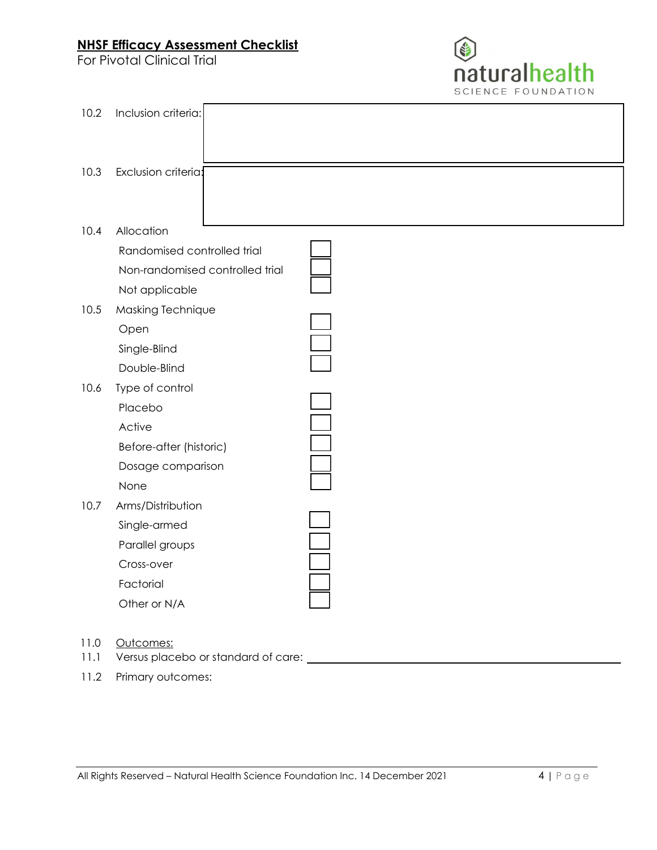For Pivotal Clinical Trial



| 10.2 | Inclusion criteria:                                                                             |  |
|------|-------------------------------------------------------------------------------------------------|--|
| 10.3 | Exclusion criteria:                                                                             |  |
| 10.4 | Allocation<br>Randomised controlled trial<br>Non-randomised controlled trial                    |  |
|      | Not applicable                                                                                  |  |
| 10.5 | Masking Technique<br>Open<br>Single-Blind<br>Double-Blind                                       |  |
| 10.6 | Type of control<br>Placebo<br>Active<br>Before-after (historic)<br>Dosage comparison<br>None    |  |
| 10.7 | Arms/Distribution<br>Single-armed<br>Parallel groups<br>Cross-over<br>Factorial<br>Other or N/A |  |

- 11.0 Outcomes:
- 11.1 Versus placebo or standard of care:
- 11.2 Primary outcomes: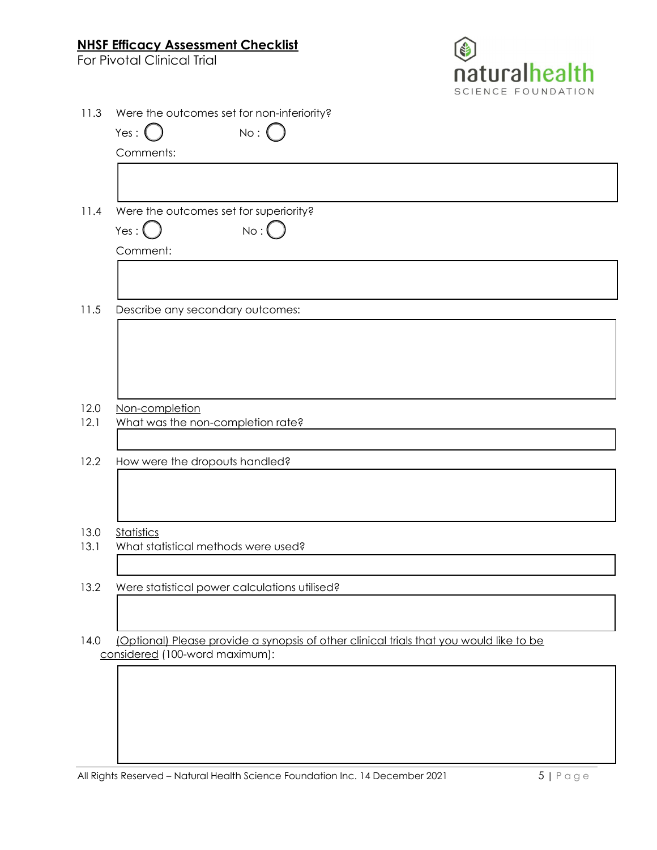For Pivotal Clinical Trial



| 11.3 | Were the outcomes set for non-inferiority?                                                                                |
|------|---------------------------------------------------------------------------------------------------------------------------|
|      | $No:$ $\left( \right)$<br>Yes: $($                                                                                        |
|      | Comments:                                                                                                                 |
|      |                                                                                                                           |
| 11.4 | Were the outcomes set for superiority?                                                                                    |
|      | No:<br>Yes : $\bigcup$                                                                                                    |
|      | Comment:                                                                                                                  |
|      |                                                                                                                           |
| 11.5 | Describe any secondary outcomes:                                                                                          |
|      |                                                                                                                           |
|      |                                                                                                                           |
|      |                                                                                                                           |
|      |                                                                                                                           |
| 12.0 | Non-completion                                                                                                            |
| 12.1 | What was the non-completion rate?                                                                                         |
|      |                                                                                                                           |
| 12.2 | How were the dropouts handled?                                                                                            |
|      |                                                                                                                           |
|      |                                                                                                                           |
| 13.0 | <b>Statistics</b>                                                                                                         |
| 13.1 | What statistical methods were used?                                                                                       |
|      |                                                                                                                           |
|      | 13.2 Were statistical power calculations utilised?                                                                        |
|      |                                                                                                                           |
|      |                                                                                                                           |
| 14.0 | (Optional) Please provide a synopsis of other clinical trials that you would like to be<br>considered (100-word maximum): |
|      |                                                                                                                           |
|      |                                                                                                                           |
|      |                                                                                                                           |
|      |                                                                                                                           |

All Rights Reserved – Natural Health Science Foundation Inc. 14 December 2021 5 | P a g e